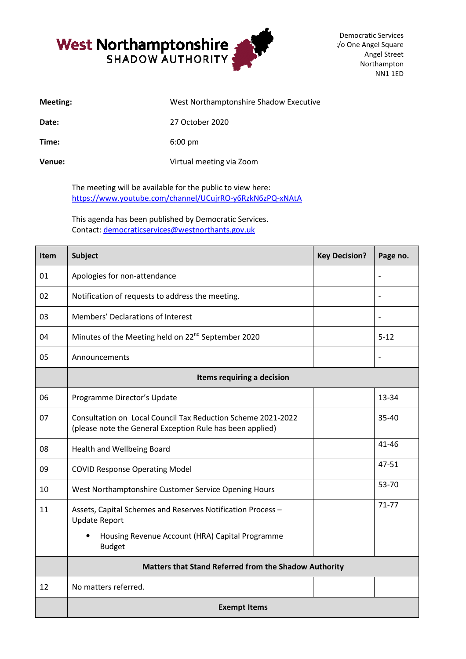

:/o One Angel Square Democratic Services Angel Street Northampton NN1 1ED

| Meeting: | West Northamptonshire Shadow Executive |
|----------|----------------------------------------|
| Date:    | 27 October 2020                        |
| Time:    | $6:00 \text{ pm}$                      |
| Venue:   | Virtual meeting via Zoom               |

The meeting will be available for the public to view here: https://www.youtube.com/channel/UCujrRO <https://www.youtube.com/channel/UCujrRO-y6RzkN6zPQ-xNAtA>

This agenda has been published by Democratic Services. Contact: democraticservices@westnorthants.gov.uk

| <b>Item</b> | <b>Subject</b>                                                                                                            | <b>Key Decision?</b> | Page no.                 |  |  |
|-------------|---------------------------------------------------------------------------------------------------------------------------|----------------------|--------------------------|--|--|
| 01          | Apologies for non-attendance                                                                                              |                      |                          |  |  |
| 02          | Notification of requests to address the meeting.                                                                          |                      |                          |  |  |
| 03          | Members' Declarations of Interest                                                                                         |                      | $\overline{\phantom{0}}$ |  |  |
| 04          | Minutes of the Meeting held on 22 <sup>nd</sup> September 2020                                                            |                      | $5 - 12$                 |  |  |
| 05          | Announcements                                                                                                             |                      |                          |  |  |
|             | Items requiring a decision                                                                                                |                      |                          |  |  |
| 06          | Programme Director's Update                                                                                               |                      | 13-34                    |  |  |
| 07          | Consultation on Local Council Tax Reduction Scheme 2021-2022<br>(please note the General Exception Rule has been applied) |                      | 35-40                    |  |  |
| 08          | Health and Wellbeing Board                                                                                                |                      | $41 - 46$                |  |  |
| 09          | <b>COVID Response Operating Model</b>                                                                                     |                      | 47-51                    |  |  |
| 10          | West Northamptonshire Customer Service Opening Hours                                                                      |                      | 53-70                    |  |  |
| 11          | Assets, Capital Schemes and Reserves Notification Process -<br><b>Update Report</b>                                       |                      | $71 - 77$                |  |  |
|             | Housing Revenue Account (HRA) Capital Programme<br>٠<br><b>Budget</b>                                                     |                      |                          |  |  |
|             | Matters that Stand Referred from the Shadow Authority                                                                     |                      |                          |  |  |
| 12          | No matters referred.                                                                                                      |                      |                          |  |  |
|             | <b>Exempt Items</b>                                                                                                       |                      |                          |  |  |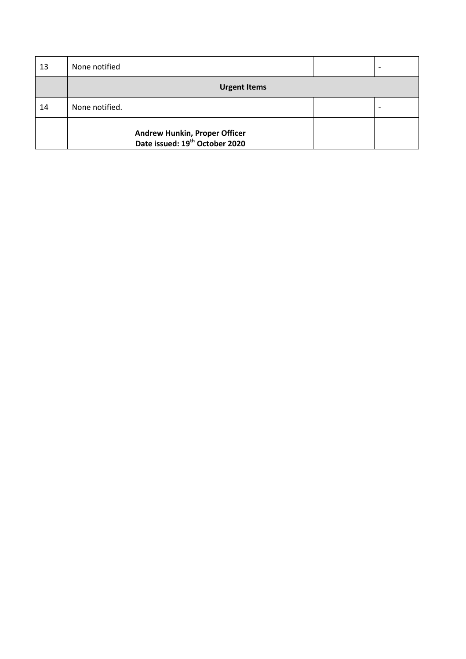| 13 | None notified                                                               |  |  |
|----|-----------------------------------------------------------------------------|--|--|
|    | <b>Urgent Items</b>                                                         |  |  |
| 14 | None notified.                                                              |  |  |
|    | Andrew Hunkin, Proper Officer<br>Date issued: 19 <sup>th</sup> October 2020 |  |  |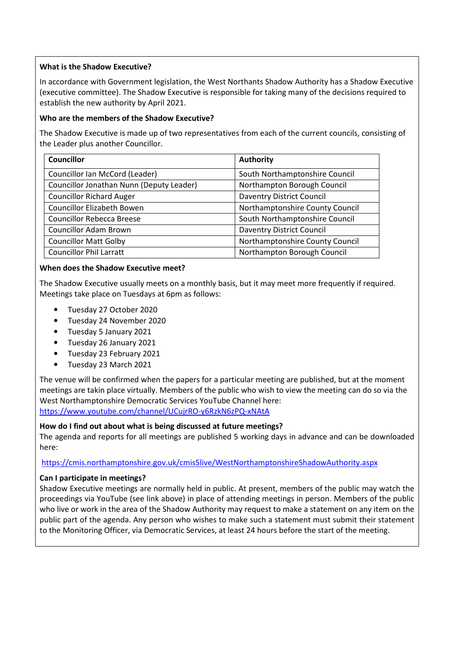## **What is the Shadow Executive?**

In accordance with Government legislation, the West Northants Shadow Authority has a Shadow Executive (executive committee). The Shadow Executive is responsible for taking many of the decisions required to establish the new authority by April 2021.

## **Who are the members of the Shadow Executive?**

The Shadow Executive is made up of two representatives from each of the current councils, consisting of the Leader plus another Councillor.

| <b>Councillor</b>                        | <b>Authority</b>                 |
|------------------------------------------|----------------------------------|
| Councillor Ian McCord (Leader)           | South Northamptonshire Council   |
| Councillor Jonathan Nunn (Deputy Leader) | Northampton Borough Council      |
| <b>Councillor Richard Auger</b>          | <b>Daventry District Council</b> |
| <b>Councillor Elizabeth Bowen</b>        | Northamptonshire County Council  |
| <b>Councillor Rebecca Breese</b>         | South Northamptonshire Council   |
| <b>Councillor Adam Brown</b>             | <b>Daventry District Council</b> |
| <b>Councillor Matt Golby</b>             | Northamptonshire County Council  |
| <b>Councillor Phil Larratt</b>           | Northampton Borough Council      |

### **When does the Shadow Executive meet?**

The Shadow Executive usually meets on a monthly basis, but it may meet more frequently if required. Meetings take place on Tuesdays at 6pm as follows:

- Tuesday 27 October 2020
- Tuesday 24 November 2020
- Tuesday 5 January 2021
- Tuesday 26 January 2021
- Tuesday 23 February 2021
- Tuesday 23 March 2021

The venue will be confirmed when the papers for a particular meeting are published, but at the moment meetings are takin place virtually. Members of the public who wish to view the meeting can do so via the West Northamptonshire Democratic Services YouTube Channel here: <https://www.youtube.com/channel/UCujrRO-y6RzkN6zPQ-xNAtA>

# **How do I find out about what is being discussed at future meetings?**

The agenda and reports for all meetings are published 5 working days in advance and can be downloaded here:

# <https://cmis.northamptonshire.gov.uk/cmis5live/WestNorthamptonshireShadowAuthority.aspx>

# **Can I participate in meetings?**

Shadow Executive meetings are normally held in public. At present, members of the public may watch the proceedings via YouTube (see link above) in place of attending meetings in person. Members of the public who live or work in the area of the Shadow Authority may request to make a statement on any item on the public part of the agenda. Any person who wishes to make such a statement must submit their statement to the Monitoring Officer, via Democratic Services, at least 24 hours before the start of the meeting.